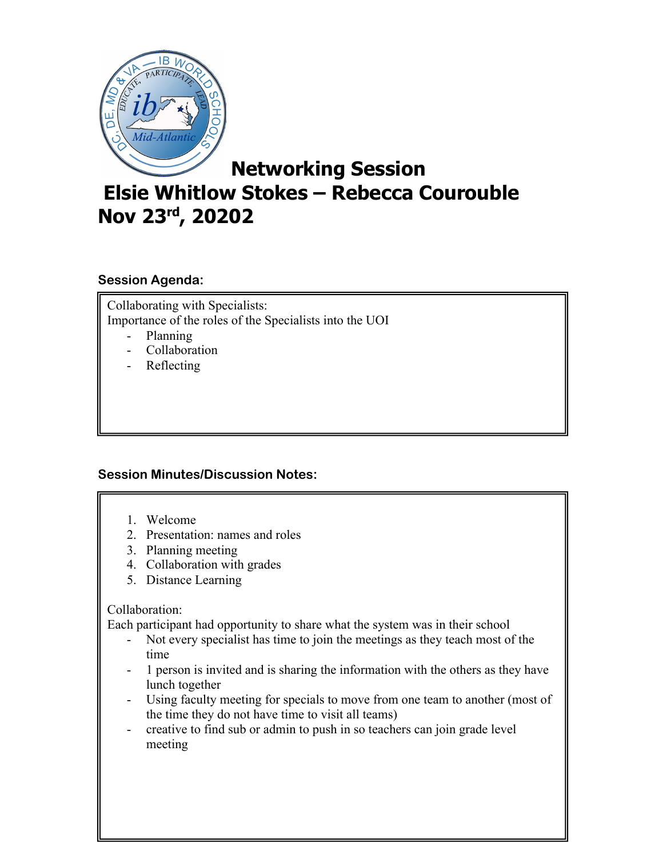

# **Networking Session**

# **Elsie Whitlow Stokes – Rebecca Courouble Nov 23rd, 20202**

## **Session Agenda:**

Collaborating with Specialists: Importance of the roles of the Specialists into the UOI

- Planning
- Collaboration
- Reflecting

### **Session Minutes/Discussion Notes:**

- 1. Welcome
- 2. Presentation: names and roles
- 3. Planning meeting
- 4. Collaboration with grades
- 5. Distance Learning

#### Collaboration:

Each participant had opportunity to share what the system was in their school

- Not every specialist has time to join the meetings as they teach most of the time
- 1 person is invited and is sharing the information with the others as they have lunch together
- Using faculty meeting for specials to move from one team to another (most of the time they do not have time to visit all teams)
- creative to find sub or admin to push in so teachers can join grade level meeting